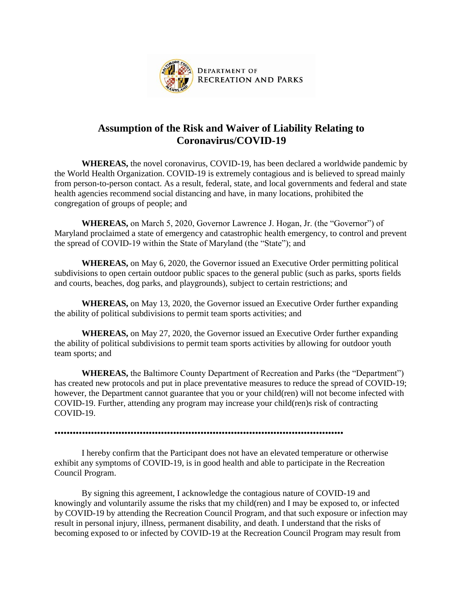

## **Assumption of the Risk and Waiver of Liability Relating to Coronavirus/COVID-19**

**WHEREAS,** the novel coronavirus, COVID-19, has been declared a worldwide pandemic by the World Health Organization. COVID-19 is extremely contagious and is believed to spread mainly from person-to-person contact. As a result, federal, state, and local governments and federal and state health agencies recommend social distancing and have, in many locations, prohibited the congregation of groups of people; and

**WHEREAS,** on March 5, 2020, Governor Lawrence J. Hogan, Jr. (the "Governor") of Maryland proclaimed a state of emergency and catastrophic health emergency, to control and prevent the spread of COVID-19 within the State of Maryland (the "State"); and

**WHEREAS,** on May 6, 2020, the Governor issued an Executive Order permitting political subdivisions to open certain outdoor public spaces to the general public (such as parks, sports fields and courts, beaches, dog parks, and playgrounds), subject to certain restrictions; and

**WHEREAS,** on May 13, 2020, the Governor issued an Executive Order further expanding the ability of political subdivisions to permit team sports activities; and

**WHEREAS,** on May 27, 2020, the Governor issued an Executive Order further expanding the ability of political subdivisions to permit team sports activities by allowing for outdoor youth team sports; and

**WHEREAS,** the Baltimore County Department of Recreation and Parks (the "Department") has created new protocols and put in place preventative measures to reduce the spread of COVID-19; however, the Department cannot guarantee that you or your child(ren) will not become infected with COVID-19. Further, attending any program may increase your child(ren)s risk of contracting COVID-19.

•••••••••••••••••••••••••••••••••••••••••••••••••••••••••••••••••••••••••••••••••••••••••••••••

I hereby confirm that the Participant does not have an elevated temperature or otherwise exhibit any symptoms of COVID-19, is in good health and able to participate in the Recreation Council Program.

By signing this agreement, I acknowledge the contagious nature of COVID-19 and knowingly and voluntarily assume the risks that my child(ren) and I may be exposed to, or infected by COVID-19 by attending the Recreation Council Program, and that such exposure or infection may result in personal injury, illness, permanent disability, and death. I understand that the risks of becoming exposed to or infected by COVID-19 at the Recreation Council Program may result from